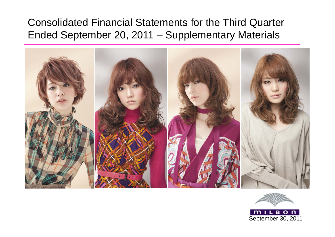# Consolidated Financial Statements for the Third Quarter Ended September 20, 2011 – Supplementary Materials





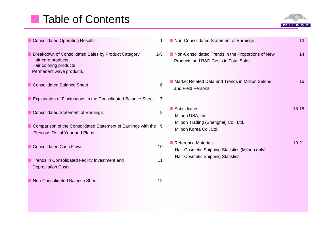# **Table of Contents**



| <b>Consolidated Operating Results</b>                                                                                          | 1               | Non-Consolidated Statement of Earnings                                                     | 13        |
|--------------------------------------------------------------------------------------------------------------------------------|-----------------|--------------------------------------------------------------------------------------------|-----------|
| Breakdown of Consolidated Sales by Product Category<br>Hair care products<br>Hair coloring products<br>Permanent wave products | $2 - 5$         | Non-Consolidated Trends in the Proportions of New<br>Products and R&D Costs in Total Sales | 14        |
| <b>Consolidated Balance Sheet</b>                                                                                              | 6               | Market Related Data and Trends in Milbon Salons<br>and Field Persons                       | 15        |
| Explanation of Fluctuations in the Consolidated Balance Sheet                                                                  | 7               |                                                                                            |           |
| <b>Consolidated Statement of Earnings</b>                                                                                      | 8               | Subsidiaries<br>Milbon USA, Inc.                                                           | $16 - 18$ |
| Comparison of the Consolidated Statement of Earnings with the 9<br><b>Previous Fiscal Year and Plans</b>                       |                 | Milbon Trading (Shanghai) Co., Ltd.<br>Milbon Korea Co., Ltd.                              |           |
| <b>Consolidated Cash Flows</b>                                                                                                 | 10 <sup>1</sup> | Reference Materials<br>Hair Cosmetic Shipping Statistics (Milbon only)                     | $19 - 21$ |
| Trends in Consolidated Facility Investment and<br><b>Depreciation Costs</b>                                                    | 11              | Hair Cosmetic Shipping Statistics                                                          |           |
| Non-Consolidated Balance Sheet                                                                                                 | 12              |                                                                                            |           |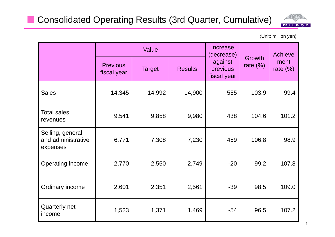

(Unit: million yen)

|                                                    |                                | Value         |                |                                                  |                       | Achieve             |
|----------------------------------------------------|--------------------------------|---------------|----------------|--------------------------------------------------|-----------------------|---------------------|
|                                                    | <b>Previous</b><br>fiscal year | <b>Target</b> | <b>Results</b> | (decrease)<br>against<br>previous<br>fiscal year | Growth<br>rate $(\%)$ | ment<br>rate $(\%)$ |
| <b>Sales</b>                                       | 14,345                         | 14,992        | 14,900         | 555                                              | 103.9                 | 99.4                |
| <b>Total sales</b><br>revenues                     | 9,541                          | 9,858         | 9,980          | 438                                              | 104.6                 | 101.2               |
| Selling, general<br>and administrative<br>expenses | 6,771                          | 7,308         | 7,230          | 459                                              | 106.8                 | 98.9                |
| Operating income                                   | 2,770                          | 2,550         | 2,749          | $-20$                                            | 99.2                  | 107.8               |
| Ordinary income                                    | 2,601                          | 2,351         | 2,561          | $-39$                                            | 98.5                  | 109.0               |
| <b>Quarterly net</b><br>income                     | 1,523                          | 1,371         | 1,469          | $-54$                                            | 96.5                  | 107.2               |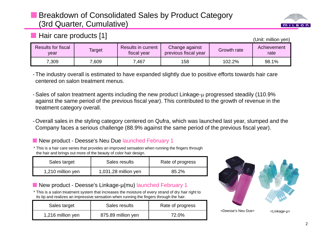### Breakdown of Consolidated Sales by Product Category (3rd Quarter, Cumulative)



#### **Hair care products [1]**

(Unit: million yen)

| Results for fiscal<br>vear | Target | <b>Results in current</b><br>tiscal year | Change against<br>previous fiscal year | Growth rate | Achievement<br>rate |
|----------------------------|--------|------------------------------------------|----------------------------------------|-------------|---------------------|
| 7,309                      | 0.609  | ,467                                     | 158                                    | 102.2%      | 98.1%               |

- The industry overall is estimated to have expanded slightly due to positive efforts towards hair care centered on salon treatment menus.

- Sales of salon treatment agents including the new product Linkage- $\mu$  progressed steadily (110.9% against the same period of the previous fiscal year). This contributed to the growth of revenue in the treatment category overall.
- Overall sales in the styling category centered on Qufra, which was launched last year, slumped and the Company faces a serious challenge (88.9% against the same period of the previous fiscal year).

#### New product - Deesse's Neu Due launched February 1

\* This is a hair care series that provides an improved sensation when running the fingers through the hair and brings out more of the beauty of color hair design.

| Sales target      | Sales results        | Rate of progress |
|-------------------|----------------------|------------------|
| 1,210 million yen | 1,031.28 million yen | 85.2%            |

#### ■ New product - Deesse's Linkage-µ(mu) launched February 1

\* This is a salon treatment system that increases the moisture of every strand of dry hair right to its tip and realizes an impressive sensation when running the fingers through the hair.

| Sales target      | Sales results      | Rate of progress |
|-------------------|--------------------|------------------|
| 1,216 million yen | 875.89 million yen | 72.0%            |

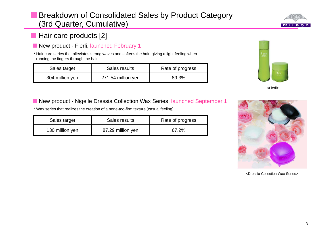### **Breakdown of Consolidated Sales by Product Category** (3rd Quarter, Cumulative)



### **Hair care products [2]**

New product - Fierli, launched February 1

\* Hair care series that alleviates strong waves and softens the hair, giving a light feeling when running the fingers through the hair

| Sales target    | Sales results      | Rate of progress |
|-----------------|--------------------|------------------|
| 304 million yen | 271.54 million yen | 89.3%            |



<Fierli>

■ New product - Nigelle Dressia Collection Wax Series, launched September 1

\* Wax series that realizes the creation of a none-too-firm texture (casual feeling)

| Sales target    | Sales results     | Rate of progress |
|-----------------|-------------------|------------------|
| 130 million yen | 87.29 million yen | 67.2%            |



<Dressia Collection Wax Series>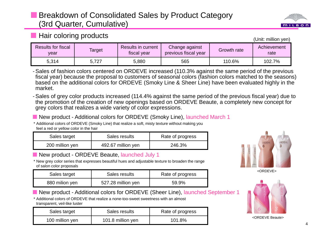### Breakdown of Consolidated Sales by Product Category (3rd Quarter, Cumulative)



| <b>Results for fiscal</b><br>vear | Target | Results in current<br>fiscal year | Change against<br>previous fiscal year                                                                | Growth rate | Achievement<br>rate |
|-----------------------------------|--------|-----------------------------------|-------------------------------------------------------------------------------------------------------|-------------|---------------------|
| 5,314                             | 5.727  | 5.880                             | 565                                                                                                   | 110.6%      | 102.7%              |
|                                   |        |                                   | -Sales of fashion colors centered on ORDEVE increased (110.3% against the same period of the previous |             |                     |

 Sales of fashion colors centered on ORDEVE increased (110.3% against the same period of the previous fiscal year) because the proposal to customers of seasonal colors (fashion colors matched to the seasons) based on the additional colors for ORDEVE (Smoky Line & Sheer Line) have been evaluated highly in the market.

- Sales of grey color products increased (114.4% against the same period of the previous fiscal year) due to the promotion of the creation of new openings based on ORDEVE Beaute, a completely new concept for grey colors that realizes a wide variety of color expressions.

■ New product - Additional colors for ORDEVE (Smoky Line), launched March 1

\* Additional colors of ORDEVE (Smoky Line) that realize a soft, misty texture without making you feel a red or yellow color in the hair

| Sales target    | Sales results      | Rate of progress |
|-----------------|--------------------|------------------|
| 200 million yen | 492.67 million yen | 246.3%           |

#### New product - ORDEVE Beaute, launched July 1

**Hair coloring products** 

Results for fiscal

\* New grey color series that expresses beautiful hues and adjustable texture to broaden the range of salon color proposals

| Sales target   | Sales results      | Rate of progress |
|----------------|--------------------|------------------|
| 880 milion yen | 527.28 million yen | 59.9%            |

■ New product - Additional colors for ORDEVE (Sheer Line), launched September 1

\* Additional colors of ORDEVE that realize a none-too-sweet sweetness with an almost transparent, veil-like luster

| Sales target    | Sales results     | Rate of progress |
|-----------------|-------------------|------------------|
| 100 million yen | 101.8 million yen | 101.8%           |



<ORDEVE>



<ORDEVE Beaute>



(Unit: million yen)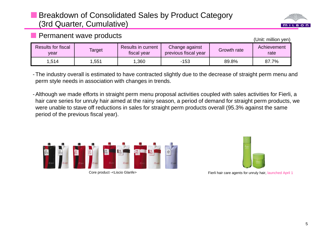### Breakdown of Consolidated Sales by Product Category (3rd Quarter, Cumulative)



(Unit: million yen)

#### **Permanent wave products**

| <b>Results for fiscal</b><br>vear | Target | Results in current<br>fiscal year | Change against<br>previous fiscal year | Growth rate | Achievement<br>rate |
|-----------------------------------|--------|-----------------------------------|----------------------------------------|-------------|---------------------|
| 1,514                             | ,551   | .360                              | $-153$                                 | 89.8%       | 87.7%               |

- The industry overall is estimated to have contracted slightly due to the decrease of straight perm menu and perm style needs in association with changes in trends.

- Although we made efforts in straight perm menu proposal activities coupled with sales activities for Fierli, a hair care series for unruly hair aimed at the rainy season, a period of demand for straight perm products, we were unable to stave off reductions in sales for straight perm products overall (95.3% against the same period of the previous fiscal year).





Core product -<Liscio Glanfe> Fierli hair care agents for unruly hair, launched April 1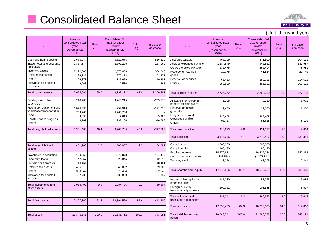# **E** Consolidated Balance Sheet



| Item                                                                                                                                            | <b>Previous</b><br>consolidated fiscal<br>year<br>(December 20,<br>2010 | Ratio<br>(% ) | Consolidated 3rd<br>quarter under<br>review<br>(September 20,<br>2011) | Ratio<br>(% ) | Increase/<br>decrease                                 | Item                                                                                                                                      | <b>Previous</b><br>consolidated fiscal<br>year<br>(December 20,<br>2010 | Ratio<br>(% ) | Consolidated 3rd<br>quarter under<br>review<br>(September 20,<br>2011) | Ratio<br>(% ) | Increase/<br>decrease                                   |
|-------------------------------------------------------------------------------------------------------------------------------------------------|-------------------------------------------------------------------------|---------------|------------------------------------------------------------------------|---------------|-------------------------------------------------------|-------------------------------------------------------------------------------------------------------------------------------------------|-------------------------------------------------------------------------|---------------|------------------------------------------------------------------------|---------------|---------------------------------------------------------|
| Cash and bank deposits<br>Trade notes and accounts<br>receivable<br>Inventory assets<br>Deferred tax assets<br>Others<br>Allowance for doubtful | 2,673,044<br>2,857,374<br>2,222,005<br>166,841<br>126,378               |               | 3,529,673<br>2,690,205<br>2,576,053<br>270,112<br>136,659              |               | 856,629<br>$-167,169$<br>354,048<br>103,271<br>10,281 | Accounts payable<br>Accrued expenses payable<br>Corporate taxes payable<br>Reserve for returned<br>goods<br>Reserve for bonuses<br>Others | 467,309<br>1,284,549<br>635,475<br>19,075<br>65,453                     |               | 571,500<br>946,562<br>556,494<br>41,824<br>280,085                     |               | 104,191<br>$-337,987$<br>$-78,981$<br>22,749<br>214,632 |
| accounts<br>Total current assets                                                                                                                | $-9,963$<br>8,035,681                                                   | 38.6          | $-10,530$<br>9,192,172                                                 | 42.6          | $-567$<br>1,156,491                                   | <b>Total current liabilities</b>                                                                                                          | 253,509<br>2,725,372                                                    | 13.1          | 456,621<br>2,853,090                                                   | 13.2          | 203,112<br>127,718                                      |
| Buildings and other<br>structures<br>Machinery, equipment and<br>vehicles for transportation<br>Land                                            | 4,210,785<br>1,074,533<br>4,763,766<br>3,634                            |               | 3,945,215<br>952,918<br>4,763,766<br>9,619                             |               | $-265,570$<br>$-121,615$<br>5,985                     | Allowance for retirement<br>benefits for employees<br>Reserve for loss on<br>quarantees<br>Long-term accrued<br>expenses payable          | 1,138<br>38,400<br>282,408                                              |               | 8.110<br>37,200<br>282,408                                             |               | 6,972<br>$-1,200$                                       |
| Construction in progress<br>Others<br>Total tangible fixed assets                                                                               | 248,769<br>10,301,488                                                   | 49.4          | 232,186<br>9,903,705                                                   | 45.9          | $-16,583$<br>$-397,783$                               | Others<br><b>Total fixed liabilities</b>                                                                                                  | 96,727<br>418,673                                                       | 2.0           | 93,618<br>421,337                                                      | 2.0           | $-3,109$<br>2,664                                       |
|                                                                                                                                                 |                                                                         |               |                                                                        |               |                                                       | <b>Total liabilities</b>                                                                                                                  | 3,144,046                                                               | 15.1          | 3,274,427                                                              | 15.2          | 130,381                                                 |
| Total intangible fixed<br>assets                                                                                                                | 451,968                                                                 | 2.2           | 506,057                                                                | 2.3           | 54,089                                                | Capital stock<br>Capital surplus<br>Retained earnings                                                                                     | 2,000,000<br>199,120<br>15,779,971                                      |               | 2,000,000<br>199,120<br>16,422,234                                     |               | 642,263                                                 |
| Investment in securities<br>Long-term loans<br>Prepaid pension costs<br>Deferred tax assets                                                     | 1,180,555<br>42,057<br>10,461<br>466,016                                |               | 1,076,078<br>29,945<br>545,082                                         |               | $-104,477$<br>$-12,112$<br>$-10,461$<br>79,066        | (Inc. current net income)<br>Treasury stock                                                                                               | (1,831,554)<br>$-38,254$                                                |               | (1,477,813)<br>$-48,095$                                               |               | $-9,841$                                                |
| Others<br>Allowance for doubtful                                                                                                                | 393,042<br>$-37,730$                                                    |               | 370,494<br>$-36,803$                                                   |               | $-22,548$<br>927                                      | Total shareholders' equity                                                                                                                | 17,940,836                                                              | 86.1          | 18,573,259                                                             | 86.0          | 632,423                                                 |
| accounts<br>Total investments and<br>other assets                                                                                               | 2,054,403                                                               | 9.9           | 1,984,796                                                              | 9.2           | $-69,607$                                             | Net unrealized gains on<br>other securities<br>Foreign currency<br>translation adjustments                                                | $-141,280$<br>$-100,061$                                                |               | $-157,365$<br>$-103,588$                                               |               | $-16,085$<br>$-3,527$                                   |
| <b>Total fixed assets</b>                                                                                                                       | 12,807,860                                                              | 61.4          | 12,394,560                                                             | 57.4          | $-413,300$                                            | Total valuation and<br>translation adjustments                                                                                            | $-241,341$                                                              | $-1.2$        | $-260,953$                                                             | $-1.2$        | $-19,612$                                               |
|                                                                                                                                                 |                                                                         |               |                                                                        |               |                                                       | <b>Total net assets</b>                                                                                                                   | 17,699,495                                                              | 84.9          | 18,312,305                                                             | 84.8          | 612,810                                                 |
| <b>Total assets</b>                                                                                                                             | 20,843,541                                                              | 100.0         | 21,586,732                                                             | 100.0         | 743,191                                               | Total liabilities and net<br>assets                                                                                                       | 20,843,541                                                              | 100.0         | 21,586,732                                                             | 100.0         | 743,191                                                 |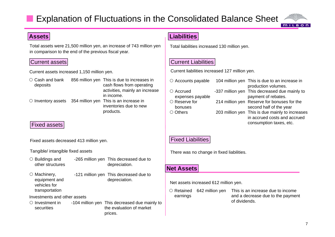### Explanation of Fluctuations in the Consolidated Balance Sheet



#### **Assets**

Total assets were 21,500 million yen, an increase of 743 million yen in comparison to the end of the previous fiscal year.

#### Current assets

Current assets increased 1,150 million yen.

 $\circlearrowright$  Cash and bank deposits 856 million yen This is due to increases in cash flows from operating activities, mainly an increase in income.  $\circ$  Inventory assets 354 million yen This is an increase in inventories due to new products.

#### Fixed assets

Fixed assets decreased 413 million yen.

#### Tangible/ intangible fixed assets

- $\circ$  Buildings and other structures -265 million yen This decreased due to depreciation.
- $\circ$  Machinery, equipment and vehicles for transportation -121 million yen This decreased due to depreciation.

Investments and other assets

 $\circ$  Investment in securities-104 million yen This decreased due mainly to the evaluation of market prices.

#### **Liabilities**

Total liabilities increased 130 million yen.

#### Current Liabilities

Current liabilities increased 127 million yen.

| $\circ$ Accounts payable | 104 million yen This is due to an increase in   |
|--------------------------|-------------------------------------------------|
|                          | production volumes.                             |
| $\circ$ Accrued          | -337 million yen This decreased due mainly to   |
| expenses payable         | payment of rebates.                             |
| $\circ$ Reserve for      | 214 million yen Reserve for bonuses for the     |
| bonuses                  | second half of the year                         |
| $\circ$ Others           | 203 million yen This is due mainly to increases |
|                          | in accrued costs and accrued                    |
|                          | consumption taxes, etc.                         |

#### Fixed Liabilities

There was no change in fixed liabilities.

#### **Net Assets**

Net assets increased 612 million yen.

O Retained earnings 642 million yen This is an increase due to income and a decrease due to the payment of dividends.

**MILBON**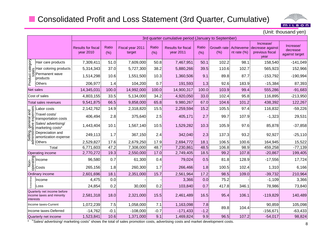### ■ Consolidated Profit and Loss Statement (3rd Quarter, Cumulative)



(Unit: thousand yen)

|                        |                                                                                          |                                        | 3rd quarter cumulative period (January to September) |                            |               |                                        |               |                    |                             |                                                          |                                         |  |  |
|------------------------|------------------------------------------------------------------------------------------|----------------------------------------|------------------------------------------------------|----------------------------|---------------|----------------------------------------|---------------|--------------------|-----------------------------|----------------------------------------------------------|-----------------------------------------|--|--|
|                        |                                                                                          | <b>Results for fiscal</b><br>year 2010 | Ratio<br>(% )                                        | Fiscal year 2011<br>target | Ratio<br>(% ) | <b>Results for fiscal</b><br>year 2011 | Ratio<br>(% ) | Growth rate<br>(%) | Achieveme<br>nt rate $(\%)$ | Increase/<br>decrease against<br>previous fiscal<br>year | Increase/<br>decrease<br>against target |  |  |
|                        |                                                                                          | 7,309,411                              | 51.0                                                 | 7,609,000                  | 50.8          | 7,467,951                              | 50.1          | 102.2              | 98.1                        | 158,540                                                  | $-141,049$                              |  |  |
|                        | Solution<br>$\frac{1}{8}$ Hair coloring products<br>$\frac{1}{8}$ Hair coloring products | 5,314,343                              | 37.0                                                 | 5,727,300                  | 38.2          | 5,880,266                              | 39.5          | 110.6              | 102.7                       | 565,923                                                  | 152,966                                 |  |  |
| Product<br>tot:        | Permanent wave<br>products                                                               | 1,514,298                              | 10.6                                                 | 1,551,500                  | 10.3          | 1,360,506                              | 9.1           | 89.8               | 87.7                        | $-153,792$                                               | $-190,994$                              |  |  |
|                        | <b>Others</b>                                                                            | 206,977                                | 1.4                                                  | 104,200                    | 0.7           | 191,593                                | 1.3           | 92.6               | 183.9                       | $-15,384$                                                | 87,393                                  |  |  |
|                        | Net sales                                                                                | 14,345,031                             | 100.0                                                | 14,992,000                 | 100.0         | 14,900,317                             | 100.0         | 103.9              | 99.4                        | 555,286                                                  | $-91,683$                               |  |  |
|                        | Cost of sales                                                                            | 4,803,155                              | 33.5                                                 | 5,134,000                  | 34.2          | 4,920,050                              | 33.0          | 102.4              | 95.8                        | 116,895                                                  | $-213,950$                              |  |  |
|                        | Total sales revenues                                                                     | 9,541,875                              | 66.5                                                 | 9,858,000                  | 65.8          | 9,980,267                              | 67.0          | 104.6              | 101.2                       | 438,392                                                  | 122,267                                 |  |  |
| and<br>enses           | abor costs                                                                               | 2,142,762                              | 14.9                                                 | 2,318,820                  | 15.5          | 2,259,594                              | 15.2          | 105.5              | 97.4                        | 116,832                                                  | $-59,226$                               |  |  |
|                        | Travel costs/<br>transportation costs                                                    | 406,494                                | 2.8                                                  | 375,640                    | 2.5           | 405,171                                | 2.7           | 99.7               | 107.9                       | $-1,323$                                                 | 29,531                                  |  |  |
| dxə ə∧ip.<br>∶  euəuə  | Sales/ advertising/<br>marketing costs*                                                  | 1,443,404                              | 10.1                                                 | 1,567,140                  | 10.5          | 1,529,282                              | 10.3          | 105.9              | 97.6                        | 85,878                                                   | $-37,858$                               |  |  |
| Selling,<br>administra | Depreciation and<br>amortization expense                                                 | 249,113                                | 1.7                                                  | 367,150                    | 2.4           | 342,040                                | 2.3           | 137.3              | 93.2                        | 92,927                                                   | $-25,110$                               |  |  |
|                        | Others                                                                                   | 2,529,827                              | 17.6                                                 | 2,679,250                  | 17.9          | 2,694,772                              | 18.1          | 106.5              | 100.6                       | 164,945                                                  | 15,522                                  |  |  |
|                        | Total                                                                                    | 6,771,603                              | 47.2                                                 | 7,308,000                  | 48.7          | 7,230,861                              | 48.5          | 106.8              | 98.9                        | 459,258                                                  | $-77,139$                               |  |  |
|                        | Operating income                                                                         | 2,770,272                              | 19.3                                                 | 2,550,000                  | 17.0          | 2,749,405                              | 18.5          | 99.2               | 107.8                       | $-20,867$                                                | 199,405                                 |  |  |
|                        |                                                                                          | 96,580                                 | 0.7                                                  | 61,300                     | 0.4           | 79,024                                 | 0.5           | 81.8               | 128.9                       | $-17,556$                                                | 17,724                                  |  |  |
|                        | E<br>Sales Income<br>A<br>Costs                                                          | 265,156                                | 1.8                                                  | 260,300                    | 1.7           | 266,466                                | 1.8           | 100.5              | 102.4                       | 1,310                                                    | 6,166                                   |  |  |
|                        | Ordinary income                                                                          | 2,601,696                              | 18.1                                                 | 2,351,000                  | 15.7          | 2,561,964                              | 17.2          | 98.5               | 109.0                       | $-39,732$                                                | 210,964                                 |  |  |
|                        | Income                                                                                   | 4,475                                  | 0.0                                                  |                            |               | 3,366                                  | 0.0           | 75.2               |                             | $-1,109$                                                 | 3,366                                   |  |  |
|                        | Loss                                                                                     | 24,854                                 | 0.2                                                  | 30,000                     | 0.2           | 103,840                                | 0.7           | 417.8              | 346.1                       | 78,986                                                   | 73,840                                  |  |  |
| interests              | Quarterly net income before<br>income taxes and minority                                 | 2,581,318                              | 18.0                                                 | 2,321,000                  | 15.5          | 2,461,489                              | 16.5          | 95.4               | 106.1                       | $-119,829$                                               | 140,489                                 |  |  |
|                        | Income taxes-Current                                                                     | 1,072,239                              | 7.5                                                  | 1,058,000                  | 7.1           | 1,163,098                              | 7.8           |                    |                             | 90,859                                                   | 105,098                                 |  |  |
|                        | Income taxes-Deferred                                                                    | $-14,762$                              | $-0.1$                                               | $-108,000$                 | $-0.7$        | $-171,433$                             | $-1.2$        | 89.8               | 104.4                       | $-156,671$                                               | $-63,433$                               |  |  |
|                        | Quarterly net income                                                                     | 1,523,841                              | 10.6                                                 | 1,371,000                  | 9.1           | 1,469,824                              | 9.9           | 96.5               | 107.2                       | $-54,017$                                                | 98,824                                  |  |  |

\* "Sales/ advertising/ marketing costs" shows the total of sales promotion costs, advertising costs and market development costs.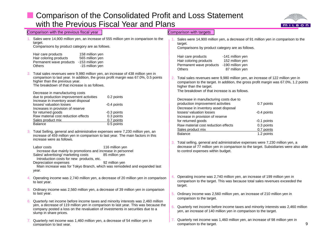### **E.** Comparison of the Consolidated Profit and Loss Statement with the Previous Fiscal Year and Plans



|    | Comparison with the previous fiscal year                                                                                                                                                                                                                                                                                                                                                                                                                                                                  |    | Comparison with targets                                                                                                                                                                                                                                                                                                                                                       |
|----|-----------------------------------------------------------------------------------------------------------------------------------------------------------------------------------------------------------------------------------------------------------------------------------------------------------------------------------------------------------------------------------------------------------------------------------------------------------------------------------------------------------|----|-------------------------------------------------------------------------------------------------------------------------------------------------------------------------------------------------------------------------------------------------------------------------------------------------------------------------------------------------------------------------------|
|    | Sales were 14,900 million yen, an increase of 555 million yen in comparison to the<br>target.<br>Comparisons by product category are as follows.                                                                                                                                                                                                                                                                                                                                                          |    | Sales were 14,900 million yen, a decrease of 91 million yen in comparison to the<br>target.<br>Comparisons by product category are as follows.                                                                                                                                                                                                                                |
|    | Hair care products<br>158 million yen<br>Hair coloring products<br>565 million yen<br>Permanent wave products -153 million yen<br>-15 million yen<br>Others                                                                                                                                                                                                                                                                                                                                               |    | Hair care products<br>-141 million yen<br>Hair coloring products<br>152 million yen<br>-190 million yen<br>Permanent wave products<br>87 million yen<br>Others                                                                                                                                                                                                                |
|    | Total sales revenues were 9,980 million yen, an increase of 438 million yen in<br>comparison to last year. In addition, the gross profit margin was 67.0%, 0.5 points<br>higher than the previous year.<br>The breakdown of that increase is as follows.<br>Decrease in manufacturing costs                                                                                                                                                                                                               |    | Total sales revenues were 9,980 million yen, an increase of 122 million yen in<br>comparison to the target. In addition, the gross profit margin was 67.0%, 1.2 points<br>higher than the target.<br>The breakdown of that increase is as follows.                                                                                                                            |
|    | due to production improvement activities<br>0.2 points<br>Increase in inventory asset disposal<br>losses/ valuation losses<br>-0.4 points<br>Increases in provision of reserve<br>-0.3 points<br>for returned goods<br>0.3 points<br>Raw material cost reduction effects<br>0.7 points<br>Sales product mix<br>0.5 points<br>Balance<br>Total Selling, general and administrative expenses were 7,230 million yen, an<br>increase of 459 million yen in comparison to last year. The main factors in this |    | Decrease in manufacturing costs due to<br>production improvement activities<br>0.7 points<br>Decrease in inventory asset disposal<br>losses/ valuation losses<br>-0.4 points<br>Increase in provision of reserve<br>for returned goods<br>-0.1 points<br>Raw material cost reduction effects<br>0.3 points<br>Sales product mix<br>0.7 points<br><b>Balance</b><br>1.2 points |
|    | increase were as follows.<br>116 million yen<br>Labor costs<br>Increase due mainly to promotions and increase in personnel<br>Sales/ advertising/ marketing costs<br>85 million yen<br>Introduction costs for new products, etc.<br>Depreciation expenses<br>92 million yen<br>Main increase was for Tokyo Branch, which was remodeled and expanded last<br>year.                                                                                                                                         |    | Total selling, general and administrative expenses were 7,230 million yen, a<br>decrease of 77 million yen in comparison to the target. Subsidiaries were also able<br>to control expenses within budget.                                                                                                                                                                     |
|    | Operating income was 2,740 million yen, a decrease of 20 million yen in comparison<br>to last year.                                                                                                                                                                                                                                                                                                                                                                                                       | 4. | Operating income was 2,740 million yen, an increase of 199 million yen in<br>comparison to the target. This was because total sales revenues exceeded the<br>target.                                                                                                                                                                                                          |
| 5. | Ordinary income was 2,560 million yen, a decrease of 39 million yen in comparison<br>to last year.                                                                                                                                                                                                                                                                                                                                                                                                        | 5. | Ordinary income was 2,560 million yen, an increase of 210 million yen in                                                                                                                                                                                                                                                                                                      |
|    | Quarterly net income before income taxes and minority interests was 2,460 million<br>yen, a decrease of 119 million yen in comparison to last year. This was because the<br>company posted a loss on the revaluation of investments in securities due to a<br>slump in share prices.                                                                                                                                                                                                                      | 6. | comparison to the target.<br>Quarterly net income before income taxes and minority interests was 2,460 million<br>yen, an increase of 140 million yen in comparison to the target.                                                                                                                                                                                            |
|    | Quarterly net income was 1,460 million yen, a decrease of 54 million yen in<br>comparison to last year.                                                                                                                                                                                                                                                                                                                                                                                                   |    | Quarterly net income was 1,460 million yen, an increase of 98 million yen in<br>9<br>comparison to the target.                                                                                                                                                                                                                                                                |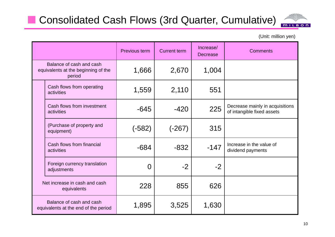# **Consolidated Cash Flows (3rd Quarter, Cumulative)**



(Unit: million yen)

|             |                                                                           | Previous term  | <b>Current term</b> | Increase/<br><b>Decrease</b> | <b>Comments</b>                                               |
|-------------|---------------------------------------------------------------------------|----------------|---------------------|------------------------------|---------------------------------------------------------------|
|             | Balance of cash and cash<br>equivalents at the beginning of the<br>period | 1,666          | 2,670               | 1,004                        |                                                               |
| activities  | Cash flows from operating                                                 | 1,559          | 2,110               | 551                          |                                                               |
| activities  | Cash flows from investment                                                | $-645$         | $-420$              | 225                          | Decrease mainly in acquisitions<br>of intangible fixed assets |
| equipment)  | (Purchase of property and                                                 | (-582)         | $(-267)$            | 315                          |                                                               |
| activities  | Cash flows from financial                                                 | $-684$         | $-832$              | $-147$                       | Increase in the value of<br>dividend payments                 |
| adjustments | Foreign currency translation                                              | $\overline{0}$ | $-2$                | $-2$                         |                                                               |
|             | Net increase in cash and cash<br>equivalents                              | 228            | 855                 | 626                          |                                                               |
|             | Balance of cash and cash<br>equivalents at the end of the period          | 1,895          | 3,525               | 1,630                        |                                                               |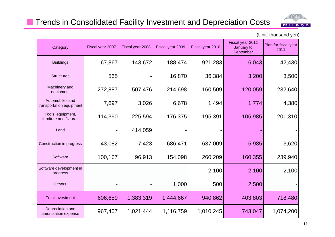### **The Trends in Consolidated Facility Investment and Depreciation Costs**



| Category                                    | Fiscal year 2007 | Fiscal year 2008 | Fiscal year 2009 | Fiscal year 2010 | Fiscal year 2011<br>January to<br>September | Plan for fiscal year<br>2011 |
|---------------------------------------------|------------------|------------------|------------------|------------------|---------------------------------------------|------------------------------|
| <b>Buildings</b>                            | 67,867           | 143,672          | 188,474          | 921,283          | 6,043                                       | 42,430                       |
| <b>Structures</b>                           | 565              |                  | 16,870           | 36,384           | 3,200                                       | 3,500                        |
| Machinery and<br>equipment                  | 272,887          | 507,476          | 214,698          | 160,509          | 120,059                                     | 232,640                      |
| Automobiles and<br>transportation equipment | 7,697            | 3,026            | 6,678            | 1,494            | 1,774                                       | 4,380                        |
| Tools, equipment,<br>furniture and fixtures | 114,390          | 225,594          | 176,375          | 195,391          | 105,985                                     | 201,310                      |
| Land                                        |                  | 414,059          |                  |                  |                                             |                              |
| Construction in progress                    | 43,082           | $-7,423$         | 686,471          | $-637,009$       | 5,985                                       | $-3,620$                     |
| Software                                    | 100,167          | 96,913           | 154,098          | 260,209          | 160,355                                     | 239,940                      |
| Software development in<br>progress         |                  |                  |                  | 2,100            | $-2,100$                                    | $-2,100$                     |
| <b>Others</b>                               |                  |                  | 1,000            | 500              | 2,500                                       |                              |
| <b>Total investment</b>                     | 606,659          | 1,383,319        | 1,444,667        | 940,862          | 403,803                                     | 718,480                      |
| Depreciation and<br>amortization expense    | 967,407          | 1,021,444        | 1,116,759        | 1,010,245        | 743,047                                     | 1,074,200                    |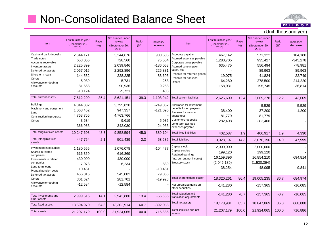# **Non-Consolidated Balance Sheet**



| Item                                                                                                                                                                        | Last business year<br>(December 20,<br>2010                                               | Ratio<br>(% ) | 3rd quarter under<br>review<br>(September 20,<br>2011)                                   | Ratio<br>(% ) | Increase/<br>decrease                                                          | Item                                                                                                                                                                         | Last business year<br>(December 20,<br>2010                    | Ratio<br>(% ) | 3rd quarter under<br>review<br>(September 20,<br>2011)                  | Ratio<br>(% ) | Increase/<br>decrease                                                       |
|-----------------------------------------------------------------------------------------------------------------------------------------------------------------------------|-------------------------------------------------------------------------------------------|---------------|------------------------------------------------------------------------------------------|---------------|--------------------------------------------------------------------------------|------------------------------------------------------------------------------------------------------------------------------------------------------------------------------|----------------------------------------------------------------|---------------|-------------------------------------------------------------------------|---------------|-----------------------------------------------------------------------------|
| Cash and bank deposits<br>Trade notes<br>Accounts receivable<br>Inventory assets<br>Deferred tax assets<br>Short term loans<br>Others<br>Allowance for doubtful<br>accounts | 2,344,171<br>653,056<br>2,225,899<br>2,067,015<br>144,532<br>5,989<br>81,668<br>$-10,124$ |               | 3,244,676<br>728,560<br>2,039,846<br>2,292,896<br>228,225<br>5,731<br>90,936<br>$-9,721$ |               | 900,505<br>75,504<br>$-186,053$<br>225,881<br>83,693<br>$-258$<br>9,268<br>403 | Accounts payable<br>Accrued expenses payable<br>Corporate taxes payable<br>Accrued consumption<br>taxes, etc.<br>Reserve for returned goods<br>Reserve for bonuses<br>Others | 467,142<br>1,280,705<br>635,475<br>19,075<br>64,280<br>158,931 |               | 571,322<br>935,427<br>556,494<br>89,963<br>41,824<br>278,500<br>195,745 |               | 104,180<br>$-345,278$<br>$-78,981$<br>89,963<br>22,749<br>214,220<br>36,814 |
| <b>Total current assets</b>                                                                                                                                                 | 7,512,209                                                                                 | 35.4          | 8,621,151                                                                                | 39.3          | 1,108,942                                                                      | <b>Total current liabilities</b>                                                                                                                                             | 2,625,609                                                      | 12.4          | 2,669,278                                                               | 12.2          | 43,669                                                                      |
| <b>Buildings</b><br>Machinery and equipment<br>Land<br>Construction in progress<br>Others                                                                                   | 4,044,882<br>1,068,452<br>4,763,766<br>3,634<br>366,963                                   |               | 3,795,820<br>947,357<br>4,763,766<br>9,619<br>342,030                                    |               | $-249,062$<br>$-121,095$<br>5,985<br>$-24,933$                                 | Allowance for retirement<br>benefits for employees<br>Reserve for loss on<br>guarantees<br>Customers' deposits<br>Long-term accrued<br>expenses payable                      | 38,400<br>81,779<br>282,408                                    |               | 5,529<br>37,200<br>81,779<br>282,408                                    |               | 5,529<br>$-1,200$                                                           |
| Total tangible fixed assets                                                                                                                                                 | 10,247,698                                                                                | 48.3          | 9,858,594                                                                                | 45.0          | $-389,104$                                                                     | <b>Total fixed liabilities</b>                                                                                                                                               | 402,587                                                        | 1.9           | 406,917                                                                 | 1.9           | 4,330                                                                       |
| Total intangible fixed<br>assets                                                                                                                                            | 447,754                                                                                   | 2.1           | 501,439                                                                                  | 2.3           | 53,685                                                                         | <b>Total liabilities</b>                                                                                                                                                     | 3,028,197                                                      | 14.3          | 3,076,196                                                               | 14.0          | 47,999                                                                      |
| Investment in securities<br>Shares in related<br>companies<br>Investments in related<br>companies<br>Long-term loans<br>Prepaid pension costs<br>Deferred tax assets        | 1,180,555<br>616,369<br>430,000<br>7,073<br>10,461<br>466,016                             |               | 1,076,078<br>616,369<br>430,000<br>6,234<br>545,082                                      |               | $-104,477$<br>$-839$<br>$-10,461$<br>79,066                                    | Capital stock<br>Capital surplus<br>Retained earnings<br>(Inc. current net income)<br>Treasury stock                                                                         | 2,000,000<br>199,120<br>16,159,396<br>(2,046,189)<br>$-38,254$ |               | 2,000,000<br>199,120<br>16,854,210<br>(1,530,364)<br>$-48,095$          |               | 694,814<br>$-9,841$                                                         |
| Others                                                                                                                                                                      | 301,624                                                                                   |               | 281,701                                                                                  |               | $-19,923$                                                                      | Total shareholders' equity                                                                                                                                                   | 18,320,261                                                     | 86.4          | 19,005,235                                                              | 86.7          | 684,974                                                                     |
| Allowance for doubtful<br>accounts                                                                                                                                          | $-12,584$                                                                                 |               | $-12,584$                                                                                |               |                                                                                | Net unrealized gains on<br>other securities                                                                                                                                  | $-141,280$                                                     |               | $-157,365$                                                              |               | $-16,085$                                                                   |
| Total investments and<br>other assets                                                                                                                                       | 2,999,516                                                                                 | 14.1          | 2,942,880                                                                                | 13.4          | $-56,636$                                                                      | Total valuation and<br>translation adjustments                                                                                                                               | $-141,280$                                                     | $-0.7$        | $-157,365$                                                              | $-0.7$        | $-16,085$                                                                   |
| <b>Total fixed assets</b>                                                                                                                                                   | 13,694,970                                                                                | 64.6          | 13,302,914                                                                               | 60.7          | $-392,056$                                                                     | Total net assets                                                                                                                                                             | 18,178,981                                                     | 85.7          | 18,847,869                                                              | 86.0          | 668,888                                                                     |
| <b>Total assets</b>                                                                                                                                                         | 21,207,179                                                                                | 100.0         | 21,924,065                                                                               | 100.0         | 716,886                                                                        | Total liabilities and net<br>assets                                                                                                                                          | 21,207,179                                                     | 100.0         | 21,924,065                                                              | 100.0         | 716,886                                                                     |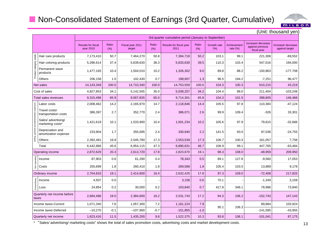### ■ Non-Consolidated Statement of Earnings (3rd Quarter, Cumulative)



|                                              |                                          | (Unit: thousand yen)                   |               |                            |               |                                                      |               |                    |                            |                                                       |                                     |  |  |  |
|----------------------------------------------|------------------------------------------|----------------------------------------|---------------|----------------------------|---------------|------------------------------------------------------|---------------|--------------------|----------------------------|-------------------------------------------------------|-------------------------------------|--|--|--|
|                                              |                                          |                                        |               |                            |               | 3rd quarter cumulative period (January to September) |               |                    |                            |                                                       |                                     |  |  |  |
|                                              |                                          | <b>Results for fiscal</b><br>year 2010 | Ratio<br>(% ) | Fiscal year 2011<br>target | Ratio<br>(% ) | Results for fiscal year<br>2011                      | Ratio<br>(% ) | Growth rate<br>(%) | Achievement<br>rate $(\%)$ | Increase/ decrease<br>against previous<br>fiscal year | Increase/decrease<br>against target |  |  |  |
|                                              | Hair care products                       | 7,173,410                              | 50.7          | 7,464,270                  | 50.8          | 7,394,718                                            | 50.2          | 103.1              | 99.1                       | 221,308                                               | $-69,552$                           |  |  |  |
|                                              | Hair coloring products                   | 5,286,614                              | 37.4          | 5,639,630                  | 38.3          | 5,833,630                                            | 39.5          | 110.3              | 103.4                      | 547,016                                               | 194,000                             |  |  |  |
| Product category totals                      | Permanent wave<br>products               | 1,477,165                              | 10.4          | 1,504,010                  | 10.2          | 1,326,302                                            | 9.0           | 89.8               | 88.2                       | $-150,863$                                            | $-177,708$                          |  |  |  |
|                                              | Others                                   | 206,158                                | 1.5           | 102,430                    | 0.7           | 198,907                                              | 1.3           | 96.5               | 194.2                      | $-7,251$                                              | 96,477                              |  |  |  |
|                                              | Net sales                                | 14,143,349                             | 100.0         | 14,710,340                 | 100.0         | 14,753,559                                           | 100.0         | 104.3              | 100.3                      | 610,210                                               | 43,219                              |  |  |  |
|                                              | Cost of sales                            | 4,827,853                              | 34.1          | 5,142,505                  | 35.0          | 5,039,257                                            | 34.2          | 104.4              | 98.0                       | 211,404                                               | $-103,248$                          |  |  |  |
|                                              | <b>Total sales revenues</b>              | 9,315,496                              | 65.9          | 9,567,835                  | 65.0          | 9,714,301                                            | 65.8          | 104.3              | 101.5                      | 398,805                                               | 146,466                             |  |  |  |
|                                              | Labor costs                              | 2,008,462                              | 14.2          | 2,165,970                  | 14.7          | 2,118,846                                            | 14.4          | 105.5              | 97.8                       | 110,384                                               | $-47,124$                           |  |  |  |
| Selling, general and administrative expenses | Travel costs/<br>transportation costs    | 386,397                                | 2.7           | 352,770                    | 2.4           | 386,071                                              | 2.6           | 99.9               | 109.4                      | $-326$                                                | 33,301                              |  |  |  |
|                                              | Sales/ advertising/<br>marketing costs*  | 1,421,619                              | 10.1          | 1,533,900                  | 10.4          | 1,501,234                                            | 10.2          | 105.6              | 97.9                       | 79,615                                                | $-32,666$                           |  |  |  |
|                                              | Depreciation and<br>amortization expense | 233,904                                | 1.7           | 355,695                    | 2.4           | 330,940                                              | 2.2           | 141.5              | 93.0                       | 97,036                                                | $-24,755$                           |  |  |  |
|                                              | Others                                   | 2,392,481                              | 16.9          | 2,545,780                  | 17.3          | 2,553,538                                            | 17.3          | 106.7              | 100.3                      | 161,057                                               | 7,758                               |  |  |  |
|                                              | Total                                    | 6,442,866                              | 45.6          | 6,954,115                  | 47.3          | 6,890,631                                            | 46.7          | 106.9              | 99.1                       | 447,765                                               | $-63,484$                           |  |  |  |
|                                              | Operating income                         | 2,872,629                              | 20.3          | 2,613,720                  | 17.8          | 2,823,670                                            | 19.1          | 98.3               | 108.0                      | $-48,959$                                             | 209,950                             |  |  |  |
|                                              | Income                                   | 87,903                                 | 0.6           | 61,290                     | 0.4           | 78,343                                               | 0.5           | 89.1               | 127.8                      | $-9,560$                                              | 17,053                              |  |  |  |
| Non-operating                                | Costs                                    | 255.699                                | 1.8           | 260,410                    | 1.8           | 269,588                                              | 1.8           | 105.4              | 103.5                      | 13,889                                                | 9,178                               |  |  |  |
|                                              | Ordinary income                          | 2,704,833                              | 19.1          | 2,414,600                  | 16.4          | 2,632,425                                            | 17.8          | 97.3               | 109.0                      | $-72,408$                                             | 217,825                             |  |  |  |
|                                              | Income                                   | 4,507                                  | 0.0           |                            |               | 3,158                                                | 0.0           | 70.1               |                            | $-1,349$                                              | 3,158                               |  |  |  |
| Extraordinary                                | Loss                                     | 24,854                                 | 0.2           | 30,000                     | 0.2           | 103,840                                              | 0.7           | 417.8              | 346.1                      | 78,986                                                | 73,840                              |  |  |  |
|                                              | Quarterly net income before<br>taxes     | 2,684,486                              | 19.0          | 2,384,600                  | 16.2          | 2,531,743                                            | 17.2          | 94.3               | 106.2                      | $-152,743$                                            | 147,143                             |  |  |  |
|                                              | Income taxes-Current                     | 1,071,340                              | 7.6           | 1,057,300                  | 7.2           | 1,161,224                                            | 7.9           |                    |                            | 89,884                                                | 103,924                             |  |  |  |
|                                              | Income taxes-Deferred                    | $-10,270$                              | $-0.1$        | $-107,900$                 | $-0.7$        | $-151,855$                                           | $-1.0$        | 95.1               | 106.3                      | $-141,585$                                            | $-43,955$                           |  |  |  |
|                                              | Quarterly net income                     | 1,623,416                              | 11.5          | 1,435,200                  | 9.8           | 1,522,375                                            | 10.3          | 93.8               | 106.1                      | $-101,041$                                            | 87,175                              |  |  |  |

\* "Sales/ advertising/ marketing costs" shows the total of sales promotion costs, advertising costs and market development costs.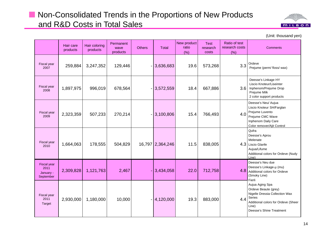### **Non-Consolidated Trends in the Proportions of New Products** and R&D Costs in Total Sales



|                                               | Hair care<br>products | Hair coloring<br>products | Permanent<br>wave<br>products | <b>Others</b> | Total            | New product<br>ratio<br>(% ) | <b>Test</b><br>research<br>costs | Ratio of test<br>research costs<br>(% ) | <b>Comments</b>                                                                                                                                                 |
|-----------------------------------------------|-----------------------|---------------------------|-------------------------------|---------------|------------------|------------------------------|----------------------------------|-----------------------------------------|-----------------------------------------------------------------------------------------------------------------------------------------------------------------|
| Fiscal year<br>2007                           | 259,884               | 3,247,352                 | 129,446                       |               | $-3,636,683$     | 19.6                         | 573,268                          | 3.3                                     | Ordeve<br>Prejume (perm/floss/wax)                                                                                                                              |
| Fiscal year<br>2008                           | 1,897,975             | 996,019                   | 678,564                       |               | $-3,572,559$     | 18.4                         | 667,886                          | 3.6                                     | Deesse's Linkage HY<br>Liscio Knoteur/Liseinter<br>Inphenom/Prejume Drop<br>Prejume Milk<br>2 color support products                                            |
| Fiscal year<br>2009                           | 2,323,359             | 507,233                   | 270,214                       |               | $-3,100,806$     | 15.4                         | 766,493                          | 4.0                                     | Deesse's Neu/ Aujua<br>Liscio Knoteur SH/Farglan<br>Prejume Luvento<br>Prejume CMC Wave<br>Inphenom Daily Care<br>Color remover/Ajit Control                    |
| Fiscal year<br>2010                           | 1,664,063             | 178,555                   | 504,829                       |               | 16,797 2,364,246 | 11.5                         | 838,005                          |                                         | Qufra<br>Deesse's Aprou<br>Melenate<br>4.3 Liscio Glanfe<br>Aujua/Lifume<br>Additional colors for Ordeve (Nudy<br>Line)                                         |
| Fiscal year<br>2011<br>January -<br>September | 2,309,828             | 1,121,763                 | 2,467                         |               | 3,434,058        | 22.0                         | 712,758                          |                                         | Deesse's Neu due<br>Deesse's Linkage-µ (mu)<br>4.8 Additional colors for Ordeve<br>(Smoky Line)<br>Fierli                                                       |
| Fiscal year<br>2011<br><b>Target</b>          | 2,930,000             | 1,180,000                 | 10,000                        |               | $- 4,120,000 $   | 19.3                         | 883,000                          | 4.4                                     | Aujua Aging Spa<br>Ordeve Beaute (grey)<br>Nigelle Dressia Collection Wax<br>Series<br>Additional colors for Ordeve (Sheer<br>Line)<br>Deesse's Shine Treatment |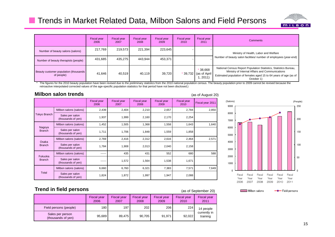### **The Trends in Market Related Data, Milbon Salons and Field Persons**



|                                                     | Fiscal year<br>2006 | <b>Fiscal year</b><br>2007 | <b>Fiscal year</b><br>2008 | <b>Fiscal year</b><br>2009 | <b>Fiscal year</b><br>2010 | Fiscal year<br>2011                           | <b>Comments</b>                                                                                                                                                                                        |
|-----------------------------------------------------|---------------------|----------------------------|----------------------------|----------------------------|----------------------------|-----------------------------------------------|--------------------------------------------------------------------------------------------------------------------------------------------------------------------------------------------------------|
| Number of beauty salons (salons)                    | 217,769             | 219,573                    | 221,394                    | 223.645                    |                            |                                               | Ministry of Health, Labor and Welfare                                                                                                                                                                  |
| Number of beauty therapists (people)                | 431,685             | 435.275                    | 443,944                    | 453,371                    |                            |                                               | Number of beauty salon facilities/ number of employees (year-end)                                                                                                                                      |
| Beauty customer population (thousands<br>of people) | 41.646              | 40.519                     | 40,119                     | 39,720                     |                            | $*38,668$<br>* 39,732 (as of April)<br>.2011) | National Census Report Population Statistics, Statistics Bureau,<br>Ministry of Internal Affairs and Communications<br>Estimated population of females aged 15 to 64 years of age (as of<br>October 1) |

The figures for the 2010 beauty population have been revised due to the preliminary statistics from the 2010 national population census. The beauty population prior to 2009 cannot be revised because the retroactive interpolated corrected values of the age-specific population statistics for that period have not been disclosed.)

(as of September 20)

#### **Milbon salon trends**

|                         | <b>Milbon salon trends</b>            |                            |                            |                            |                            |                            | (as of August 20) |
|-------------------------|---------------------------------------|----------------------------|----------------------------|----------------------------|----------------------------|----------------------------|-------------------|
|                         |                                       | <b>Fiscal year</b><br>2006 | <b>Fiscal year</b><br>2007 | <b>Fiscal year</b><br>2008 | <b>Fiscal year</b><br>2009 | <b>Fiscal year</b><br>2010 | Fiscal year 2011  |
|                         | Milbon salons (salons)                | 2,439                      | 2,404                      | 2,210                      | 2,657                      | 2,784                      | 2,850             |
| <b>Tokyo Branch</b>     | Sales per salon<br>(thousands of yen) | 1,937                      | 1,999                      | 2,160                      | 2,170                      | 2,254                      |                   |
|                         | Milbon salons (salons)                | 1,452                      | 1,505                      | 1,368                      | 1,558                      | 1,643                      | 1,640             |
| Nagoya<br><b>Branch</b> | Sales per salon<br>(thousands of yen) | 1,711                      | 1,706                      | 1,848                      | 1,559                      | 1,858                      |                   |
| Osaka                   | Milbon salons (salons)                | 2,769                      | 2,416                      | 2,312                      | 2,616                      | 2,464                      | 2,571             |
| <b>Branch</b>           | Sales per salon<br>(thousands of yen) | 1,784                      | 1,908                      | 2,013                      | 2,040                      | 2,158                      |                   |
| Fukuoka                 | Milbon salons (salons)                |                            | 435                        | 431                        | 552                        | 680                        | 588               |
| <b>Branch</b>           | Sales per salon<br>(thousands of yen) | ------                     | 1,572                      | 1,564                      | 1,538                      | 1,671                      |                   |
|                         | Milbon salons (salons)                | 6,660                      | 6,760                      | 6,321                      | 7,383                      | 7,571                      | 7,649             |
| Total                   | Sales per salon<br>(thousands of yen) | 1,824                      | 1,872                      | 1,997                      | 1,947                      | 2,088                      |                   |



#### **Trend in field persons**

|                                        | <b>Fiscal year</b><br>2006 | <b>Fiscal year</b><br>2007 | <b>Fiscal year</b><br>2008 | <b>Fiscal year</b><br>2009 | <b>Fiscal year</b><br>2010 | <b>Fiscal year</b><br>2011 |
|----------------------------------------|----------------------------|----------------------------|----------------------------|----------------------------|----------------------------|----------------------------|
| Field persons (people)                 | 180                        | 197                        | 202                        | 206                        | 224                        | 14 people                  |
| Sales per person<br>(thousands of yen) | 95,689                     | 89.475                     | 90.705                     | 91.971                     | 92,022                     | currently in<br>training   |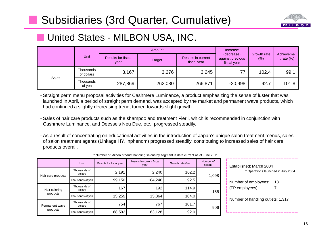# **Subsidiaries (3rd Quarter, Cumulative)**



# **United States - MILBON USA, INC.**

|       |                         |                            | Amount        | Increase                                 |                                               |                    |                             |
|-------|-------------------------|----------------------------|---------------|------------------------------------------|-----------------------------------------------|--------------------|-----------------------------|
|       | Unit                    | Results for fiscal<br>year | <b>Target</b> | <b>Results in current</b><br>fiscal year | (decrease)<br>against previous<br>fiscal year | Growth rate<br>(%) | Achieveme<br>nt rate $(\%)$ |
| Sales | Thousands<br>of dollars | 3,167                      | 3,276         | 3,245                                    | 77                                            | 102.4              | 99.1                        |
|       | Thousands<br>of yen     | 287,869                    | 262,080       | 266,871                                  | $-20,998$                                     | 92.7               | 101.8                       |

- Straight perm menu proposal activities for Cashmere Luminance, a product emphasizing the sense of luster that was launched in April, a period of straight perm demand, was accepted by the market and permanent wave products, which had continued a slightly decreasing trend, turned towards slight growth.

- Sales of hair care products such as the shampoo and treatment Fierli, which is recommended in conjunction with Cashmere Luminance, and Deesse's Neu Due, etc., progressed steadily.
- As a result of concentrating on educational activities in the introduction of Japan's unique salon treatment menus, sales of salon treatment agents (Linkage HY, Inphenom) progressed steadily, contributing to increased sales of hair care products overall.

|                            | Unit                    | Results for fiscal year | Results in current fiscal<br>year | Growth rate (%) | Number of<br>salons |  |
|----------------------------|-------------------------|-------------------------|-----------------------------------|-----------------|---------------------|--|
| Hair care products         | Thousands of<br>dollars | 2,191                   | 2,240                             | 102.2           | 1,098               |  |
|                            | Thousands of yen        | 199,150                 | 184,246                           | 92.5            |                     |  |
| Hair coloring<br>products  | Thousands of<br>dollars | 167                     | 192                               | 114.9           | 185                 |  |
|                            | Thousands of yen        | 15,259                  | 15,864                            | 104.0           |                     |  |
| Permanent wave<br>products | Thousands of<br>dollars | 754                     | 767                               | 101.7           | 906                 |  |
|                            | Thousands of yen        | 68,592                  | 63,128                            | 92.0            |                     |  |

|  |  | * Number of Milbon product handling salons by segment is data current as of June 2011. |
|--|--|----------------------------------------------------------------------------------------|
|--|--|----------------------------------------------------------------------------------------|

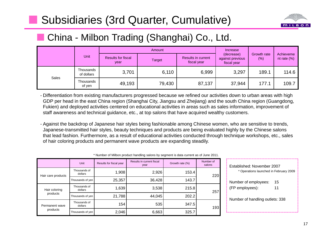# **Subsidiaries (3rd Quarter, Cumulative)**



# ■ China - Milbon Trading (Shanghai) Co., Ltd.

|       |                         |                                   | Amount        | Increase                                 |                                               |                       |                             |  |
|-------|-------------------------|-----------------------------------|---------------|------------------------------------------|-----------------------------------------------|-----------------------|-----------------------------|--|
|       | Unit                    | <b>Results for fiscal</b><br>year | <b>Target</b> | <b>Results in current</b><br>fiscal year | (decrease)<br>against previous<br>fiscal year | Growth rate<br>$(\%)$ | Achieveme<br>nt rate $(\%)$ |  |
| Sales | Thousands<br>of dollars | 3,701                             | 6,110         | 6,999                                    | 3,297                                         | 189.1                 | 114.6                       |  |
|       | Thousands<br>of yen     | 49,193                            | 79,430        | 87,137                                   | 37,944                                        | 177.1                 | 109.7                       |  |

- Differentiation from existing manufacturers progressed because we refined our activities down to urban areas with high GDP per head in the east China region (Shanghai City, Jiangsu and Zhejiang) and the south China region (Guangdong, Fukien) and deployed activities centered on educational activities in areas such as sales information, improvement of staff awareness and technical guidance, etc., at top salons that have acquired wealthy customers.

- Against the backdrop of Japanese hair styles being fashionable among Chinese women, who are sensitive to trends, Japanese-transmitted hair styles, beauty techniques and products are being evaluated highly by the Chinese salons that lead fashion. Furthermore, as a result of educational activities conducted through technique workshops, etc., sales of hair coloring products and permanent wave products are expanding steadily.

|                            | <b>Unit</b>             | Results for fiscal year | Results in current fiscal<br>year | Growth rate (%) | Number of<br>salons |
|----------------------------|-------------------------|-------------------------|-----------------------------------|-----------------|---------------------|
| Hair care products         | Thousands of<br>dollars | 1,908                   | 2,926                             | 153.4           | 220                 |
|                            | Thousands of yen        | 25,357                  | 36,428                            | 143.7           |                     |
| Hair coloring<br>products  | Thousands of<br>dollars | 1,639                   | 3,538                             | 215.8           | 257                 |
|                            | Thousands of yen        | 21,788                  | 44,045                            | 202.2           |                     |
| Permanent wave<br>products | Thousands of<br>dollars | 154                     | 535                               | 347.5           | 193                 |
|                            | Thousands of yen        | 2,046                   | 6,663                             | 325.7           |                     |

| Established: November 2007<br>* Operations launched in February 2009 |          |  |  |  |  |  |  |
|----------------------------------------------------------------------|----------|--|--|--|--|--|--|
| Number of employees:<br>(FP employees):                              | 15<br>11 |  |  |  |  |  |  |
| Number of handling outlets: 338                                      |          |  |  |  |  |  |  |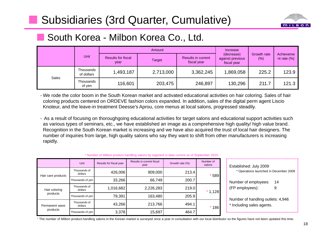# **Subsidiaries (3rd Quarter, Cumulative)**



# ■ South Korea - Milbon Korea Co., Ltd.

|       |                         |                                   | Amount        | Increase                                 |                                               |                     |                             |
|-------|-------------------------|-----------------------------------|---------------|------------------------------------------|-----------------------------------------------|---------------------|-----------------------------|
|       | Unit                    | <b>Results for fiscal</b><br>year | <b>Target</b> | <b>Results in current</b><br>fiscal year | (decrease)<br>against previous<br>fiscal year | Growth rate<br>(% ) | Achieveme<br>nt rate $(\%)$ |
| Sales | Thousands<br>of dollars | 1,493,187                         | 2,713,000     | 3,362,245                                | ,869,058                                      | 225.2               | 123.9                       |
|       | Thousands<br>of yen     | 116,601                           | 203,475       | 246,897                                  | 130,296                                       | 211.7               | 121.3                       |

- We rode the color boom in the South Korean market and activated educational activities on hair coloring. Sales of hair coloring products centered on ORDEVE fashion colors expanded. In addition, sales of the digital perm agent Liscio Knoteur, and the leave-in treatment Deesse's Aprou, core menus at local salons, progressed steadily.

- As a result of focusing on thoroughgoing educational activities for target salons and educational support activities such as various types of seminars, etc., we have established an image as a comprehensive high quality/ high value brand. Recognition in the South Korean market is increasing and we have also acquired the trust of local hair designers. The number of inquiries from large, high quality salons who say they want to shift from other manufacturers is increasing rapidly.

\* Number of Milbon product handling salons by segment is data current as of September 2010.

|                            | <b>Unit</b>               | Results for fiscal year | Results in current fiscal<br>year | Growth rate (%) | Number of<br>salons |  |
|----------------------------|---------------------------|-------------------------|-----------------------------------|-----------------|---------------------|--|
| Hair care products         | Thousands of<br>dollars   | 426,006                 | 909,000                           | 213.4           | 589                 |  |
|                            | Thousands of yen          | 33,266                  | 66,749                            | 200.7           |                     |  |
| Hair coloring<br>products  | Thousands of<br>dollars   | 1,016,682               | 2,226,283                         | 219.0           | $*1,128$            |  |
|                            | Thousands of yen          | 79,391                  | 163,480                           | 205.9           |                     |  |
| Permanent wave<br>products | Thousands of<br>dollars   | 43,266                  | 213,766                           | 494.1           | 186                 |  |
|                            | 3,378<br>Thousands of yen |                         | 15,697                            | 464.7           |                     |  |

| Established: July 2009<br>* Operations launched in December 2009 |  |  |  |  |  |  |  |
|------------------------------------------------------------------|--|--|--|--|--|--|--|
| Number of employees:<br>14<br>(FP employees):<br>9               |  |  |  |  |  |  |  |
| Number of handling outlets: 4,946<br>* Including sales agents.   |  |  |  |  |  |  |  |

\* The number of Milbon product-handling salons in the Korean market is surveyed once a year in consultation with our local distributor so the figures have not been updated this time.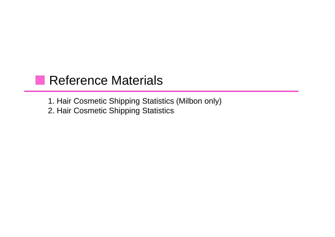# **Reference Materials**

1. Hair Cosmetic Shipping Statistics (Milbon only)

2. Hair Cosmetic Shipping Statistics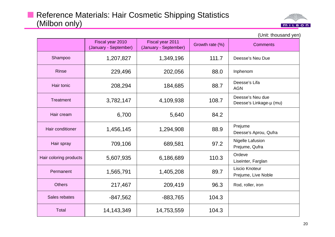

|                        | Fiscal year 2010<br>(January - September) | Fiscal year 2011<br>(January - September) | Growth rate (%) | <b>Comments</b>                             |
|------------------------|-------------------------------------------|-------------------------------------------|-----------------|---------------------------------------------|
| Shampoo                | 1,207,827                                 | 1,349,196                                 | 111.7           | Deesse's Neu Due                            |
| <b>Rinse</b>           | 229,496                                   | 202,056                                   | 88.0            | Inphenom                                    |
| Hair tonic             | 208,294                                   | 184,685                                   | 88.7            | Deesse's Lifa<br><b>AGN</b>                 |
| <b>Treatment</b>       | 3,782,147                                 | 4,109,938                                 | 108.7           | Deesse's Neu due<br>Deesse's Linkage-µ (mu) |
| Hair cream             | 6,700                                     | 5,640                                     | 84.2            |                                             |
| Hair conditioner       | 1,456,145                                 | 1,294,908                                 | 88.9            | Prejume<br>Deesse's Aprou, Qufra            |
| Hair spray             | 709,106                                   | 689,581                                   | 97.2            | Nigelle Lafusion<br>Prejume, Qufra          |
| Hair coloring products | 5,607,935                                 | 6,186,689                                 | 110.3           | Ordeve<br>Liseinter, Farglan                |
| Permanent              | 1,565,791                                 | 1,405,208                                 | 89.7            | Liscio Knoteur<br>Prejume, Live Noble       |
| <b>Others</b>          | 217,467                                   | 209,419                                   | 96.3            | Rod, roller, iron                           |
| Sales rebates          | $-847,562$                                | $-883,765$                                | 104.3           |                                             |
| <b>Total</b>           | 14, 143, 349                              | 14,753,559                                | 104.3           |                                             |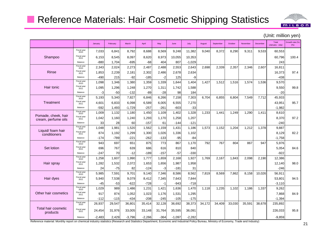## Reference Materials: Hair Cosmetic Shipping Statistics



|                                 |                            | January  | February | March    | April    | May    | June     | July     | August | September | October | November | December | Total<br>(January - July) | Growth rate (%)<br>(%) |
|---------------------------------|----------------------------|----------|----------|----------|----------|--------|----------|----------|--------|-----------|---------|----------|----------|---------------------------|------------------------|
|                                 | Fiscal year<br>2010        | 7,033    | 6,841    | 8,792    | 8,688    | 8,569  | 9,248    | 11,382   | 9,040  | 8,372     | 8,290   | 9,311    | 9,533    | 60,553                    |                        |
| Shampoo                         | Fiscal year<br>2011        | 6,153    | 8,545    | 8,097    | 8,620    | 8,973  | 10,055   | 10,353   |        |           |         |          |          | 60,796                    | 100.4                  |
|                                 | Balance                    | -880     | 1,704    | $-695$   | $-68$    | 404    | 807      | $-1,029$ |        |           |         |          |          | 243                       |                        |
|                                 | Fiscal year<br>2010        | 2,343    | 2,024    | 2,273    | 2,487    | 2,488  | 2,553    | 2,643    | 2,698  | 2,339     | 2,357   | 2,346    | 2,607    | 16,811                    |                        |
| Rinse                           | <b>Fiscal</b> vear<br>2011 | 1,853    | 2,239    | 2,181    | 2,302    | 2,486  | 2,678    | 2,634    |        |           |         |          |          | 16,373                    | 97.4                   |
|                                 | Balance                    | $-490$   | 215      | $-92$    | $-185$   | $-2$   | 125      | -9       |        |           |         |          |          | $-438$                    |                        |
|                                 | Fiscal year<br>2010        | 1,098    | 1,346    | 1,380    | 1,359    | 1,339  | 1,644    | 1,404    | 1,427  | 1,512     | 1,516   | 1,574    | 1,536    | 9,570                     |                        |
| Hair tonic                      | Fiscal year<br>2011        | 1,095    | 1,296    | 1,248    | 1,270    | 1,311  | 1,742    | 1,588    |        |           |         |          |          | 9,550                     | 99.8                   |
|                                 | Balance                    | -3       | $-50$    | $-132$   | $-89$    | $-28$  | 98       | 184      |        |           |         |          |          | $-20$                     |                        |
|                                 | Fiscal year<br>2010        | 5,193    | 5,340    | 7,827    | 6,846    | 6,266  | 7,158    | 7,303    | 6,704  | 6,855     | 6,804   | 7,549    | 7,712    | 45,933                    |                        |
| Treatment                       | Fiscal year<br>2011        | 4,601    | 6,833    | 6,098    | 6,589    | 6,005  | 6,555    | 7,270    |        |           |         |          |          | 43,951                    | 95.7                   |
|                                 | Balance                    | $-592$   | 1,493    | $-1,729$ | $-257$   | $-261$ | $-603$   | $-33$    |        |           |         |          |          | $-1,982$                  |                        |
| Pomade, cheek, hair             | Fiscal year<br>2010        | 1,009    | 1,132    | 1,180    | 1,450    | 1,109  | 1,402    | 1,328    | 1,233  | 1,441     | 1,249   | 1,290    | 1,411    | 8,610                     |                        |
| cream, perfume oils             | <b>Fiscal</b> vear<br>2011 | 1,042    | 1,160    | 1,240    | 1,293    | 1,170  | 1,258    | 1,207    |        |           |         |          |          | 8,370                     | 97.2                   |
|                                 | Balance                    | 33       | 28       | 60       | $-157$   | 61     | $-144$   | $-121$   |        |           |         |          |          | $-240$                    |                        |
| Liquid/ foam hair               | Fiscal year<br>2010        | 1,048    | 1,981    | 1,520    | 1,562    | 1,159  | 1,431    | 1,186    | 1,573  | 1,152     | 1,204   | 1,212    | 1,378    | 9,887                     |                        |
| conditioners                    | Fiscal year<br>2011        | 874      | 1,192    | 1,299    | 1,300    | 1,026  | 1,336    | 1,102    |        |           |         |          |          | 8,129                     | 82.2                   |
|                                 | Balance                    | $-174$   | $-789$   | $-221$   | $-262$   | $-133$ | $-95$    | -84      |        |           |         |          |          | $-1,758$                  |                        |
|                                 | Fiscal year<br>2010        | 943      | 697      | 651      | 875      | 773    | 867      | 1,170    | 792    | 767       | 804     | 867      | 947      | 5,976                     |                        |
| Set lotion                      | Fiscal year<br>2011        | 696      | 767      | 639      | 686      | 616    | 810      | 840      |        |           |         |          |          | 5,054                     | 84.6                   |
|                                 | Balance                    | -247     | 70       | $-12$    | $-189$   | -157   | $-57$    | $-330$   |        |           |         |          |          | $-922$                    |                        |
|                                 | Fiscal year<br>2010        | 1,258    | 1,607    | 1,990    | 1,777    | 1,659  | 2,168    | 1,927    | 1.769  | 2,167     | 1,843   | 2,098    | 2,190    | 12,386                    |                        |
| Hair spray                      | <b>Fiscal</b> vear<br>2011 | 1,282    | 1,532    | 2,072    | 1,653    | 1,656  | 1,987    | 1,958    |        |           |         |          |          | 12,140                    | 98.0                   |
|                                 | Balance                    | 24       | $-75$    | 82       | $-124$   | -3     | $-181$   | 31       |        |           |         |          |          | $-246$                    |                        |
|                                 | Fiscal year<br>2010        | 5,985    | 7,591    | 9,701    | 9,140    | 7,346  | 8,586    | 8,562    | 7,819  | 8,569     | 7,862   | 8,158    | 10,026   | 56,911                    |                        |
| Hair dyes                       | <b>Fiscal</b> vear<br>2011 | 5,940    | 7,538    | 9,079    | 8,412    | 7,345  | 7,643    | 7,844    |        |           |         |          |          | 53,801                    | 94.5                   |
|                                 | Balance                    | $-45$    | $-53$    | $-622$   | $-728$   | $-1$   | $-943$   | $-718$   |        |           |         |          |          | $-3,110$                  |                        |
|                                 | Fiscal year<br>2010        | 1,029    | 989      | 1.486    | 1,231    | 1,421  | 1,636    | 1,470    | 1.118  | 1,235     | 1,102   | 1,186    | 1,337    | 9,262                     |                        |
| Other hair cosmetics            | Fiscal year<br>2011        | 917      | 874      | 1,052    | 1,023    | 1,176  | 1,531    | 1,295    |        |           |         |          |          | 7,868                     | 84.9                   |
|                                 | Balance                    | $-112$   | $-115$   | $-434$   | $-208$   | $-245$ | $-105$   | $-175$   |        |           |         |          |          | $-1,394$                  |                        |
|                                 | Fiscal year<br>2010        | 26,937   | 29,547   | 36,801   | 35,414   | 32,128 | 36,692   | 38,373   | 34,172 | 34,409    | 33,030  | 35,591   | 38,678   | 235,892                   |                        |
| Total hair cosmetic<br>products | Fiscal year<br>2011        | 24,454   | 31,976   | 33,005   | 33,148   | 31,764 | 35,595   | 36,091   |        |           |         |          |          | 226,033                   | 95.8                   |
|                                 | Balance                    | $-2,483$ | 2.429    | $-3.796$ | $-2,266$ | $-364$ | $-1,097$ | $-2,282$ |        |           |         |          |          | $-9,859$                  |                        |

(Unit: million yen)

Reference material: Monthly report on chemical industry statistics (Research and Statistics Department, Economic and Industrial Policy Bureau, Ministry of Economy, Trade and Industry)